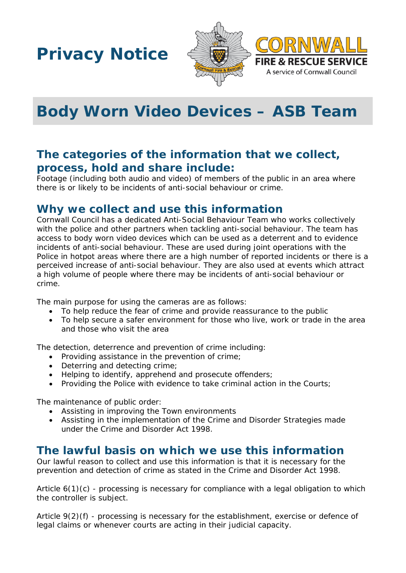**Privacy Notice**



**FIRE & RESCUE SERVICE** A service of Cornwall Council



# **The categories of the information that we collect, process, hold and share include:**

Footage (including both audio and video) of members of the public in an area where there is or likely to be incidents of anti-social behaviour or crime.

### **Why we collect and use this information**

Cornwall Council has a dedicated Anti-Social Behaviour Team who works collectively with the police and other partners when tackling anti-social behaviour. The team has access to body worn video devices which can be used as a deterrent and to evidence incidents of anti-social behaviour. These are used during joint operations with the Police in hotpot areas where there are a high number of reported incidents or there is a perceived increase of anti-social behaviour. They are also used at events which attract a high volume of people where there may be incidents of anti-social behaviour or crime.

The main purpose for using the cameras are as follows:

- To help reduce the fear of crime and provide reassurance to the public
- To help secure a safer environment for those who live, work or trade in the area and those who visit the area

The detection, deterrence and prevention of crime including:

- Providing assistance in the prevention of crime;
- Deterring and detecting crime;
- Helping to identify, apprehend and prosecute offenders;
- Providing the Police with evidence to take criminal action in the Courts;

The maintenance of public order:

- Assisting in improving the Town environments
- Assisting in the implementation of the Crime and Disorder Strategies made under the Crime and Disorder Act 1998.

#### **The lawful basis on which we use this information**

Our lawful reason to collect and use this information is that it is necessary for the prevention and detection of crime as stated in the Crime and Disorder Act 1998.

Article 6(1)(c) - processing is necessary for compliance with a legal obligation to which the controller is subject.

Article 9(2)(f) - processing is necessary for the establishment, exercise or defence of legal claims or whenever courts are acting in their judicial capacity.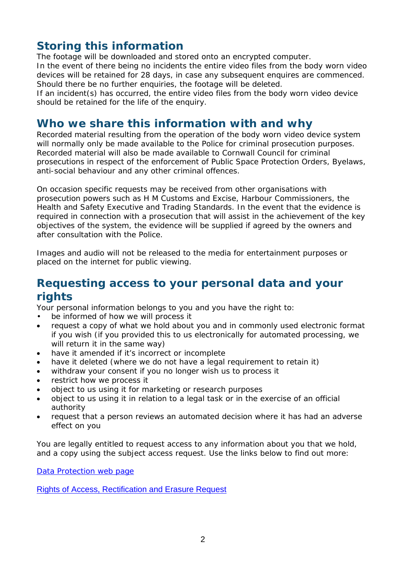# **Storing this information**

The footage will be downloaded and stored onto an encrypted computer. In the event of there being no incidents the entire video files from the body worn video devices will be retained for 28 days, in case any subsequent enquires are commenced.

Should there be no further enquiries, the footage will be deleted. If an incident(s) has occurred, the entire video files from the body worn video device should be retained for the life of the enquiry.

## **Who we share this information with and why**

Recorded material resulting from the operation of the body worn video device system will normally only be made available to the Police for criminal prosecution purposes. Recorded material will also be made available to Cornwall Council for criminal prosecutions in respect of the enforcement of Public Space Protection Orders, Byelaws, anti-social behaviour and any other criminal offences.

On occasion specific requests may be received from other organisations with prosecution powers such as H M Customs and Excise, Harbour Commissioners, the Health and Safety Executive and Trading Standards. In the event that the evidence is required in connection with a prosecution that will assist in the achievement of the key objectives of the system, the evidence will be supplied if agreed by the owners and after consultation with the Police.

Images and audio will not be released to the media for entertainment purposes or placed on the internet for public viewing.

### **Requesting access to your personal data and your rights**

Your personal information belongs to you and you have the right to:

- be informed of how we will process it
- request a copy of what we hold about you and in commonly used electronic format if you wish (if you provided this to us electronically for automated processing, we will return it in the same way)
- have it amended if it's incorrect or incomplete
- have it deleted (where we do not have a legal requirement to retain it)
- withdraw your consent if you no longer wish us to process it
- restrict how we process it
- object to us using it for marketing or research purposes
- object to us using it in relation to a legal task or in the exercise of an official authority
- request that a person reviews an automated decision where it has had an adverse effect on you

You are legally entitled to request access to any information about you that we hold, and a copy using the subject access request. Use the links below to find out more:

[Data Protection web page](http://www.cornwall.gov.uk/council-and-democracy/data-protection-and-freedom-of-information/data-protection)

[Rights of Access, Rectification and Erasure Request](https://www.cornwall.gov.uk/media/33315555/form-2018-rare-form-blank.pdf)